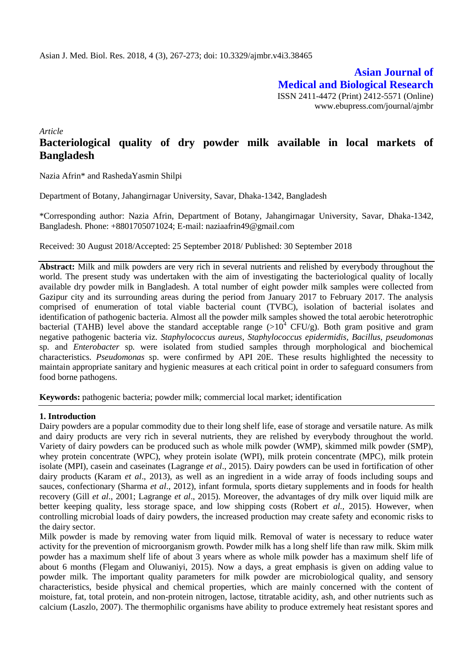**Asian Journal of Medical and Biological Research** ISSN 2411-4472 (Print) 2412-5571 (Online) www.ebupress.com/journal/ajmbr

*Article*

# **Bacteriological quality of dry powder milk available in local markets of Bangladesh**

Nazia Afrin\* and RashedaYasmin Shilpi

Department of Botany, Jahangirnagar University, Savar, Dhaka-1342, Bangladesh

\*Corresponding author: Nazia Afrin, Department of Botany, Jahangirnagar University, Savar, Dhaka-1342, Bangladesh. Phone: +8801705071024; E-mail: naziaafrin49@gmail.com

Received: 30 August 2018/Accepted: 25 September 2018/ Published: 30 September 2018

**Abstract:** Milk and milk powders are very rich in several nutrients and relished by everybody throughout the world. The present study was undertaken with the aim of investigating the bacteriological quality of locally available dry powder milk in Bangladesh. A total number of eight powder milk samples were collected from Gazipur city and its surrounding areas during the period from January 2017 to February 2017. The analysis comprised of enumeration of total viable bacterial count (TVBC), isolation of bacterial isolates and identification of pathogenic bacteria. Almost all the powder milk samples showed the total aerobic heterotrophic bacterial (TAHB) level above the standard acceptable range  $(>10^4 \text{ CFU/g})$ . Both gram positive and gram negative pathogenic bacteria viz. *Staphylococcus aureus, Staphylococcus epidermidis, Bacillus, pseudomonas*  sp*.* and *Enterobacter* sp*.* were isolated from studied samples through morphological and biochemical characteristics. *Pseudomonas* sp. were confirmed by API 20E. These results highlighted the necessity to maintain appropriate sanitary and hygienic measures at each critical point in order to safeguard consumers from food borne pathogens.

**Keywords:** pathogenic bacteria; powder milk; commercial local market; identification

#### **1. Introduction**

Dairy powders are a popular commodity due to their long shelf life, ease of storage and versatile nature. As milk and dairy products are very rich in several nutrients, they are relished by everybody throughout the world. Variety of dairy powders can be produced such as whole milk powder (WMP), skimmed milk powder (SMP), whey protein concentrate (WPC), whey protein isolate (WPI), milk protein concentrate (MPC), milk protein isolate (MPI), casein and caseinates (Lagrange *et al*., 2015). Dairy powders can be used in fortification of other dairy products (Karam *et al*., 2013), as well as an ingredient in a wide array of foods including soups and sauces, confectionary (Sharma *et al*., 2012), infant formula, sports dietary supplements and in foods for health recovery (Gill *et al*., 2001; Lagrange *et al*., 2015). Moreover, the advantages of dry milk over liquid milk are better keeping quality, less storage space, and low shipping costs (Robert *et al.,* 2015). However, when controlling microbial loads of dairy powders, the increased production may create safety and economic risks to the dairy sector.

Milk powder is made by removing water from liquid milk. Removal of water is necessary to reduce water activity for the prevention of microorganism growth. Powder milk has a long shelf life than raw milk. Skim milk powder has a maximum shelf life of about 3 years where as whole milk powder has a maximum shelf life of about 6 months (Flegam and Oluwaniyi, 2015). Now a days, a great emphasis is given on adding value to powder milk. The important quality parameters for milk powder are microbiological quality, and sensory characteristics, beside physical and chemical properties, which are mainly concerned with the content of moisture, fat, total protein, and non-protein nitrogen, lactose, titratable acidity, ash, and other nutrients such as calcium (Laszlo, 2007). The thermophilic organisms have ability to produce extremely heat resistant spores and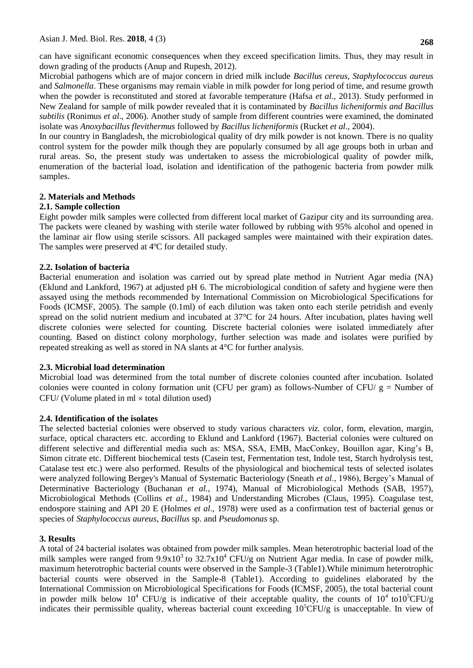can have significant economic consequences when they exceed specification limits. Thus, they may result in down grading of the products (Anup and Rupesh, 2012).

Microbial pathogens which are of major concern in dried milk include *Bacillus cereus*, *Staphylococcus aureus*  and *Salmonella*. These organisms may remain viable in milk powder for long period of time, and resume growth when the powder is reconstituted and stored at favorable temperature (Hafsa *et al.,* 2013). Study performed in New Zealand for sample of milk powder revealed that it is contaminated by *Bacillus licheniformis and Bacillus subtilis* (Ronimus *et al*., 2006). Another study of sample from different countries were examined, the dominated isolate was *Anoxybacillus flevithermus* followed by *Bacillus licheniformis* (Rucket *et al*., 2004).

In our country in Bangladesh, the microbiological quality of dry milk powder is not known. There is no quality control system for the powder milk though they are popularly consumed by all age groups both in urban and rural areas. So, the present study was undertaken to assess the microbiological quality of powder milk, enumeration of the bacterial load, isolation and identification of the pathogenic bacteria from powder milk samples.

#### **2. Materials and Methods**

#### **2.1. Sample collection**

Eight powder milk samples were collected from different local market of Gazipur city and its surrounding area. The packets were cleaned by washing with sterile water followed by rubbing with 95% alcohol and opened in the laminar air flow using sterile scissors. All packaged samples were maintained with their expiration dates. The samples were preserved at 4ºC for detailed study.

#### **2.2. Isolation of bacteria**

Bacterial enumeration and isolation was carried out by spread plate method in Nutrient Agar media (NA) (Eklund and Lankford, 1967) at adjusted pH 6. The microbiological condition of safety and hygiene were then assayed using the methods recommended by International Commission on Microbiological Specifications for Foods (ICMSF, 2005). The sample (0.1ml) of each dilution was taken onto each sterile petridish and evenly spread on the solid nutrient medium and incubated at 37°C for 24 hours. After incubation, plates having well discrete colonies were selected for counting. Discrete bacterial colonies were isolated immediately after counting. Based on distinct colony morphology, further selection was made and isolates were purified by repeated streaking as well as stored in NA slants at 4°C for further analysis.

#### **2.3. Microbial load determination**

Microbial load was determined from the total number of discrete colonies counted after incubation. Isolated colonies were counted in colony formation unit (CFU per gram) as follows-Number of CFU/  $g =$  Number of  $CFU/$  (Volume plated in ml  $\times$  total dilution used)

#### **2.4. Identification of the isolates**

The selected bacterial colonies were observed to study various characters *viz.* color, form, elevation, margin, surface, optical characters etc. according to Eklund and Lankford (1967). Bacterial colonies were cultured on different selective and differential media such as: MSA, SSA, EMB, MacConkey, Bouillon agar, King's B, Simon citrate etc. Different biochemical tests (Casein test, Fermentation test, Indole test, Starch hydrolysis test, Catalase test etc.) were also performed. Results of the physiological and biochemical tests of selected isolates were analyzed following Bergey's Manual of Systematic Bacteriology (Sneath *et al*., 1986), Bergey's Manual of Determinative Bacteriology (Buchanan *et al.*, 1974), Manual of Microbiological Methods (SAB, 1957), Microbiological Methods (Collins *et al.*, 1984) and Understanding Microbes (Claus, 1995). Coagulase test, endospore staining and API 20 E (Holmes *et al*., 1978) were used as a confirmation test of bacterial genus or species of *Staphylococcus aureus*, *Bacillus* sp. and *Pseudomonas* sp.

#### **3. Results**

A total of 24 bacterial isolates was obtained from powder milk samples. Mean heterotrophic bacterial load of the milk samples were ranged from  $9.9x10^3$  to  $32.7x10^4$  CFU/g on Nutrient Agar media. In case of powder milk, maximum heterotrophic bacterial counts were observed in the Sample-3 (Table1).While minimum heterotrophic bacterial counts were observed in the Sample-8 (Table1). According to guidelines elaborated by the International Commission on Microbiological Specifications for Foods (ICMSF, 2005), the total bacterial count in powder milk below  $10^4$  CFU/g is indicative of their acceptable quality, the counts of  $10^4$  to10<sup>5</sup>CFU/g indicates their permissible quality, whereas bacterial count exceeding  $10^5$ CFU/g is unacceptable. In view of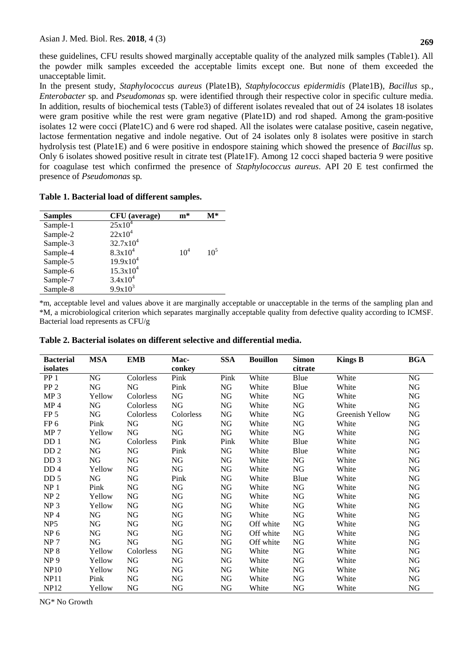these guidelines, CFU results showed marginally acceptable quality of the analyzed milk samples (Table1). All the powder milk samples exceeded the acceptable limits except one. But none of them exceeded the unacceptable limit.

In the present study, *Staphylococcus aureus* (Plate1B)*, Staphylococcus epidermidis* (Plate1B)*, Bacillus* sp*., Enterobacter* sp*.* and *Pseudomonas* sp*.* were identified through their respective color in specific culture media. In addition, results of biochemical tests (Table3) of different isolates revealed that out of 24 isolates 18 isolates were gram positive while the rest were gram negative (Plate1D) and rod shaped. Among the gram-positive isolates 12 were cocci (Plate1C) and 6 were rod shaped. All the isolates were catalase positive, casein negative, lactose fermentation negative and indole negative. Out of 24 isolates only 8 isolates were positive in starch hydrolysis test (Plate1E) and 6 were positive in endospore staining which showed the presence of *Bacillus* sp. Only 6 isolates showed positive result in citrate test (Plate1F). Among 12 cocci shaped bacteria 9 were positive for coagulase test which confirmed the presence of *Staphylococcus aureus*. API 20 E test confirmed the presence of *Pseudomonas* sp*.*

**Table 1. Bacterial load of different samples.**

| <b>Samples</b> | <b>CFU</b> (average) | $m*$            | $\mathbf{M}^*$ |
|----------------|----------------------|-----------------|----------------|
| Sample-1       | $25x10^4$            |                 |                |
| Sample-2       | $22x10^4$            |                 |                |
| Sample-3       | $32.7x10^4$          |                 |                |
| Sample-4       | $8.3x10^{4}$         | 10 <sup>4</sup> | $10^5$         |
| Sample-5       | $19.9x10^4$          |                 |                |
| Sample-6       | $15.3x10^{4}$        |                 |                |
| Sample-7       | $3.4x10^4$           |                 |                |
| Sample-8       | $9.9x10^{3}$         |                 |                |
|                |                      |                 |                |

\*m, acceptable level and values above it are marginally acceptable or unacceptable in the terms of the sampling plan and \*M, a microbiological criterion which separates marginally acceptable quality from defective quality according to ICMSF. Bacterial load represents as CFU/g

| <b>Bacterial</b> | <b>MSA</b> | <b>EMB</b> | Mac-       | <b>SSA</b> | <b>Bouillon</b> | <b>Simon</b> | <b>Kings B</b>  | <b>BGA</b> |
|------------------|------------|------------|------------|------------|-----------------|--------------|-----------------|------------|
| isolates         |            |            | conkey     |            |                 | citrate      |                 |            |
| PP <sub>1</sub>  | NG         | Colorless  | Pink       | Pink       | White           | Blue         | White           | ${\rm NG}$ |
| PP <sub>2</sub>  | NG         | NG         | Pink       | NG         | White           | Blue         | White           | NG         |
| MP <sub>3</sub>  | Yellow     | Colorless  | NG         | NG         | White           | NG           | White           | NG         |
| MP <sub>4</sub>  | NG         | Colorless  | ${\rm NG}$ | NG         | White           | NG           | White           | NG         |
| FP <sub>5</sub>  | NG         | Colorless  | Colorless  | NG         | White           | NG           | Greenish Yellow | NG         |
| FP <sub>6</sub>  | Pink       | NG         | NG         | NG         | White           | NG           | White           | NG         |
| MP <sub>7</sub>  | Yellow     | NG         | NG         | NG         | White           | NG           | White           | NG         |
| DD 1             | NG         | Colorless  | Pink       | Pink       | White           | Blue         | White           | NG         |
| DD <sub>2</sub>  | NG         | NG         | Pink       | NG         | White           | Blue         | White           | NG         |
| DD <sub>3</sub>  | NG         | NG         | NG         | NG         | White           | NG           | White           | NG         |
| DD <sub>4</sub>  | Yellow     | NG         | NG         | NG         | White           | NG           | White           | NG         |
| DD <sub>5</sub>  | NG         | NG         | Pink       | NG         | White           | Blue         | White           | NG         |
| NP <sub>1</sub>  | Pink       | NG         | NG         | NG         | White           | NG           | White           | NG         |
| NP <sub>2</sub>  | Yellow     | NG         | NG         | NG         | White           | NG           | White           | NG         |
| NP <sub>3</sub>  | Yellow     | NG         | NG         | NG         | White           | NG           | White           | NG         |
| NP <sub>4</sub>  | NG         | NG         | NG         | NG         | White           | NG           | White           | NG         |
| NP <sub>5</sub>  | NG         | NG         | NG         | NG         | Off white       | NG           | White           | NG         |
| NP <sub>6</sub>  | NG         | NG         | NG         | NG         | Off white       | NG           | White           | NG         |
| NP <sub>7</sub>  | NG         | NG         | NG         | NG         | Off white       | NG           | White           | NG         |
| NP <sub>8</sub>  | Yellow     | Colorless  | NG         | NG         | White           | NG           | White           | NG         |
| NP <sub>9</sub>  | Yellow     | NG         | NG         | NG         | White           | NG           | White           | NG         |
| <b>NP10</b>      | Yellow     | NG         | NG         | NG         | White           | NG           | White           | NG         |
| <b>NP11</b>      | Pink       | NG         | NG         | NG         | White           | NG           | White           | NG         |
| NP12             | Yellow     | NG.        | NG         | NG         | White           | NG           | White           | NG         |

**Table 2. Bacterial isolates on different selective and differential media.**

NG\* No Growth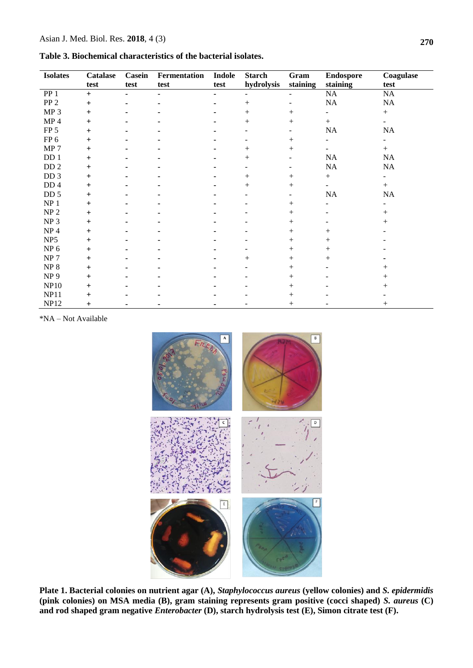| Table 3. Biochemical characteristics of the bacterial isolates. |  |  |  |
|-----------------------------------------------------------------|--|--|--|
|-----------------------------------------------------------------|--|--|--|

| <b>Isolates</b> | <b>Catalase</b> | <b>Casein</b> | Fermentation | <b>Indole</b> | <b>Starch</b> | Gram                     | <b>Endospore</b>   | Coagulase                |
|-----------------|-----------------|---------------|--------------|---------------|---------------|--------------------------|--------------------|--------------------------|
|                 | test            | test          | test         | test          | hydrolysis    | staining                 | staining           | test                     |
| PP <sub>1</sub> | $+$             |               |              |               |               |                          | $\rm NA$           | NA                       |
| PP <sub>2</sub> | $\ddot{}$       |               |              |               | $^{+}$        | ۰                        | NA                 | NA                       |
| MP <sub>3</sub> | $+$             |               |              |               | $^{+}$        | $^{+}$                   |                    | $+$                      |
| MP <sub>4</sub> | $\ddot{}$       |               |              |               | $^{+}$        | $+$                      | $+$                | $\overline{\phantom{0}}$ |
| FP <sub>5</sub> | $+$             |               |              |               |               | $\overline{\phantom{a}}$ | NA                 | NA                       |
| FP <sub>6</sub> | $\ddot{}$       |               |              |               |               | $+$                      |                    |                          |
| MP <sub>7</sub> | $\ddot{}$       |               |              |               | $^{+}$        | $+$                      |                    | $+$                      |
| DD <sub>1</sub> | $\ddot{}$       |               |              |               | $^{+}$        | $\overline{\phantom{0}}$ | NA                 | NA                       |
| DD <sub>2</sub> | $\ddot{}$       |               |              |               |               |                          | NA                 | NA                       |
| DD 3            | $+$             |               |              |               | $^{+}$        | $^{+}$                   |                    | -                        |
| DD <sub>4</sub> | $\ddot{}$       |               |              |               | $^{+}$        | $^{+}$                   |                    | $+$                      |
| DD <sub>5</sub> | $+$             |               |              |               |               | $\overline{\phantom{a}}$ | $\rm NA$           | NA                       |
| NP <sub>1</sub> | $+$             |               |              |               |               | $^{+}$                   |                    |                          |
| NP <sub>2</sub> | $\pm$           |               |              |               |               | $^{+}$                   |                    | $^{+}$                   |
| NP <sub>3</sub> | $\ddot{}$       |               |              |               |               | $^{+}$                   |                    | $^{+}$                   |
| NP <sub>4</sub> | $\ddot{}$       |               |              |               |               | $^{+}$                   | $\hspace{0.1mm} +$ |                          |
| NP <sub>5</sub> | $\ddot{}$       |               |              |               |               | $+$                      | $^{+}$             |                          |
| NP <sub>6</sub> | $\ddot{}$       |               |              |               |               | $+$                      | $^{+}$             |                          |
| NP <sub>7</sub> | $+$             |               |              |               | $^{+}$        | $^{+}$                   | $^{+}$             |                          |
| ${\rm NP}$ 8    | $\ddot{}$       |               |              |               |               | $^{+}$                   |                    | $^+$                     |
| NP <sub>9</sub> | $\ddot{}$       |               |              |               |               | $+$                      |                    | $^+$                     |
| <b>NP10</b>     | $\ddot{}$       |               |              |               |               | $+$                      |                    | $\, +$                   |
| <b>NP11</b>     | $\ddot{}$       |               |              |               |               | $^{+}$                   |                    |                          |
| <b>NP12</b>     | $\overline{+}$  |               |              |               |               | $^+$                     |                    | $\hspace{0.1mm} +$       |

\*NA – Not Available



**Plate 1. Bacterial colonies on nutrient agar (A),** *Staphylococcus aureus* **(yellow colonies) and** *S. epidermidis* **(pink colonies) on MSA media (B), gram staining represents gram positive (cocci shaped)** *S. aureus* **(C) and rod shaped gram negative** *Enterobacter* **(D), starch hydrolysis test (E), Simon citrate test (F).**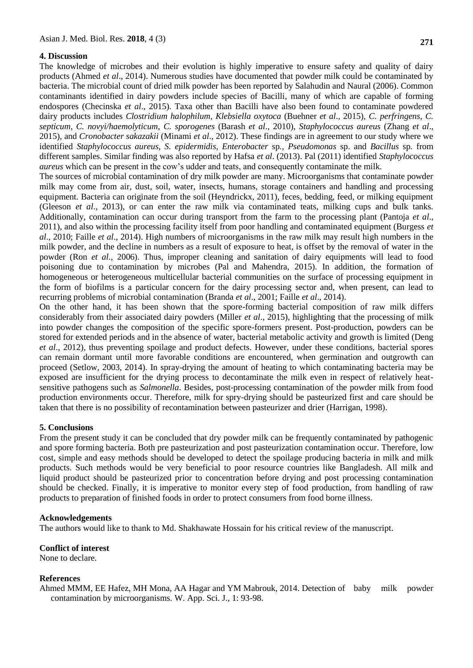### **4. Discussion**

The knowledge of microbes and their evolution is highly imperative to ensure safety and quality of dairy products (Ahmed *et al*., 2014). Numerous studies have documented that powder milk could be contaminated by bacteria. The microbial count of dried milk powder has been reported by Salahudin and Naural (2006). Common contaminants identified in dairy powders include species of Bacilli, many of which are capable of forming endospores (Checinska *et al*., 2015). Taxa other than Bacilli have also been found to contaminate powdered dairy products includes *Clostridium halophilum*, *Klebsiella oxytoca* (Buehner *et al*., 2015), *C. perfringens*, *C. septicum*, *C. novyi/haemolyticum*, *C. sporogenes* (Barash *et al*., 2010), *Staphylococcus aureus* (Zhang *et al*., 2015), and *Cronobacter sakazakii* (Minami *et al*., 2012). These findings are in agreement to our study where we identified *Staphylococcus aureus, S. epidermidis, Enterobacter* sp*., Pseudomonas* sp. and *Bacillus* sp*.* from different samples. Similar finding was also reported by Hafsa *et al*. (2013). Pal (2011) identified *Staphylococcus aureus* which can be present in the cow's udder and teats, and consequently contaminate the milk.

The sources of microbial contamination of dry milk powder are many. Microorganisms that contaminate powder milk may come from air, dust, soil, water, insects, humans, storage containers and handling and processing equipment. Bacteria can originate from the soil (Heyndrickx, 2011), feces, bedding, feed, or milking equipment (Gleeson *et al*., 2013), or can enter the raw milk via contaminated teats, milking cups and bulk tanks. Additionally, contamination can occur during transport from the farm to the processing plant (Pantoja *et al*., 2011), and also within the processing facility itself from poor handling and contaminated equipment (Burgess *et al*., 2010; Faille *et al*., 2014). High numbers of microorganisms in the raw milk may result high numbers in the milk powder, and the decline in numbers as a result of exposure to heat, is offset by the removal of water in the powder (Ron *et al.,* 2006). Thus, improper cleaning and sanitation of dairy equipments will lead to food poisoning due to contamination by microbes (Pal and Mahendra, 2015). In addition, the formation of homogeneous or heterogeneous multicellular bacterial communities on the surface of processing equipment in the form of biofilms is a particular concern for the dairy processing sector and, when present, can lead to recurring problems of microbial contamination (Branda *et al*., 2001; Faille *et al*., 2014).

On the other hand, it has been shown that the spore-forming bacterial composition of raw milk differs considerably from their associated dairy powders (Miller *et al*., 2015), highlighting that the processing of milk into powder changes the composition of the specific spore-formers present. Post-production, powders can be stored for extended periods and in the absence of water, bacterial metabolic activity and growth is limited (Deng *et al*., 2012), thus preventing spoilage and product defects. However, under these conditions, bacterial spores can remain dormant until more favorable conditions are encountered, when germination and outgrowth can proceed (Setlow, 2003, 2014). In spray-drying the amount of heating to which contaminating bacteria may be exposed are insufficient for the drying process to decontaminate the milk even in respect of relatively heatsensitive pathogens such as *Salmonella*. Besides, post-processing contamination of the powder milk from food production environments occur. Therefore, milk for spry-drying should be pasteurized first and care should be taken that there is no possibility of recontamination between pasteurizer and drier (Harrigan, 1998).

#### **5. Conclusions**

From the present study it can be concluded that dry powder milk can be frequently contaminated by pathogenic and spore forming bacteria. Both pre pasteurization and post pasteurization contamination occur. Therefore, low cost, simple and easy methods should be developed to detect the spoilage producing bacteria in milk and milk products. Such methods would be very beneficial to poor resource countries like Bangladesh. All milk and liquid product should be pasteurized prior to concentration before drying and post processing contamination should be checked. Finally, it is imperative to monitor every step of food production, from handling of raw products to preparation of finished foods in order to protect consumers from food borne illness.

#### **Acknowledgements**

The authors would like to thank to Md. Shakhawate Hossain for his critical review of the manuscript.

## **Conflict of interest**

None to declare.

#### **References**

Ahmed MMM, EE Hafez, MH Mona, AA Hagar and YM Mabrouk, 2014. Detection of baby milk powder contamination by microorganisms. W. App. Sci. J., 1: 93-98.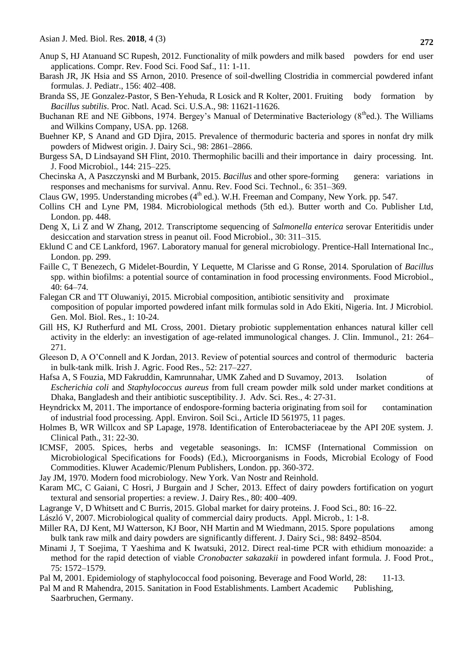- Anup S, HJ Atanuand SC Rupesh, 2012. Functionality of milk powders and milk based powders for end user applications. Compr. Rev. Food Sci. Food Saf., 11: 1-11.
- Barash JR, JK Hsia and SS Arnon, 2010. Presence of soil-dwelling Clostridia in commercial powdered infant formulas. J. Pediatr., 156: 402–408.
- Branda SS, JE Gonzalez-Pastor, S Ben-Yehuda, R Losick and R Kolter, 2001. Fruiting body formation by *Bacillus subtilis*. Proc. Natl. Acad. Sci. U.S.A., 98: 11621-11626.
- Buchanan RE and NE Gibbons, 1974. Bergey's Manual of Determinative Bacteriology (8<sup>th</sup>ed.). The Williams and Wilkins Company, USA. pp. 1268.
- Buehner KP, S Anand and GD Djira, 2015. Prevalence of thermoduric bacteria and spores in nonfat dry milk powders of Midwest origin. J. Dairy Sci., 98: 2861–2866.
- Burgess SA, D Lindsayand SH Flint, 2010. Thermophilic bacilli and their importance in dairy processing. Int. J. Food Microbiol., 144: 215–225.
- Checinska A, A Paszczynski and M Burbank, 2015. *Bacillus* and other spore-forming genera: variations in responses and mechanisms for survival. Annu. Rev. Food Sci. Technol., 6: 351–369.
- Claus GW, 1995. Understanding microbes  $(4<sup>th</sup>$  ed.). W.H. Freeman and Company, New York. pp. 547.
- Collins CH and Lyne PM, 1984. Microbiological methods (5th ed.). Butter worth and Co. Publisher Ltd, London. pp. 448.
- Deng X, Li Z and W Zhang, 2012. Transcriptome sequencing of *Salmonella enterica* serovar Enteritidis under desiccation and starvation stress in peanut oil. Food Microbiol., 30: 311–315.
- Eklund C and CE Lankford, 1967. Laboratory manual for general microbiology. Prentice-Hall International Inc., London. pp. 299.
- Faille C, T Benezech, G Midelet-Bourdin, Y Lequette, M Clarisse and G Ronse, 2014. Sporulation of *Bacillus*  spp. within biofilms: a potential source of contamination in food processing environments. Food Microbiol., 40: 64–74.
- Falegan CR and TT Oluwaniyi, 2015. Microbial composition, antibiotic sensitivity and proximate composition of popular imported powdered infant milk formulas sold in Ado Ekiti, Nigeria. Int. J Microbiol. Gen. Mol. Biol. Res., 1: 10-24.
- Gill HS, KJ Rutherfurd and ML Cross, 2001. Dietary probiotic supplementation enhances natural killer cell activity in the elderly: an investigation of age-related immunological changes. J. Clin. Immunol., 21: 264– 271.
- Gleeson D, A O'Connell and K Jordan, 2013. Review of potential sources and control of thermoduric bacteria in bulk-tank milk. Irish J. Agric. Food Res., 52: 217–227.
- Hafsa A, S Fouzia, MD Fakruddin, Kamrunnahar, UMK Zahed and D Suvamoy, 2013. Isolation of *Escherichia coli* and *Staphylococcus aureus* from full cream powder milk sold under market conditions at Dhaka, Bangladesh and their antibiotic susceptibility. J. Adv. Sci. Res.*,* 4: 27-31.
- Heyndrickx M, 2011. The importance of endospore-forming bacteria originating from soil for contamination of industrial food processing. Appl. Environ. Soil Sci., Article ID 561975, 11 pages.
- Holmes B, WR Willcox and SP Lapage, 1978. Identification of Enterobacteriaceae by the API 20E system. J. Clinical Path., 31: 22-30.
- ICMSF, 2005. Spices, herbs and vegetable seasonings. In: ICMSF (International Commission on Microbiological Specifications for Foods) (Ed.), Microorganisms in Foods, Microbial Ecology of Food Commodities. Kluwer Academic/Plenum Publishers, London. pp. 360-372.
- Jay JM, 1970. Modern food microbiology. New York. Van Nostr and Reinhold.
- Karam MC, C Gaiani, C Hosri, J Burgain and J Scher, 2013. Effect of dairy powders fortification on yogurt textural and sensorial properties: a review. J. Dairy Res*.,* 80: 400–409.
- Lagrange V, D Whitsett and C Burris, 2015. Global market for dairy proteins. J. Food Sci., 80: 16–22.
- László V, 2007. Microbiological quality of commercial dairy products. Appl. Microb*.,* 1: 1-8.
- Miller RA, DJ Kent, MJ Watterson, KJ Boor, NH Martin and M Wiedmann, 2015. Spore populations among bulk tank raw milk and dairy powders are significantly different. J. Dairy Sci., 98: 8492–8504.
- Minami J, T Soejima, T Yaeshima and K Iwatsuki, 2012. Direct real-time PCR with ethidium monoazide: a method for the rapid detection of viable *Cronobacter sakazakii* in powdered infant formula. J. Food Prot., 75: 1572–1579.
- Pal M, 2001. Epidemiology of staphylococcal food poisoning. Beverage and Food World, 28: 11-13.
- Pal M and R Mahendra, 2015. Sanitation in Food Establishments. Lambert Academic Publishing, Saarbruchen, Germany.